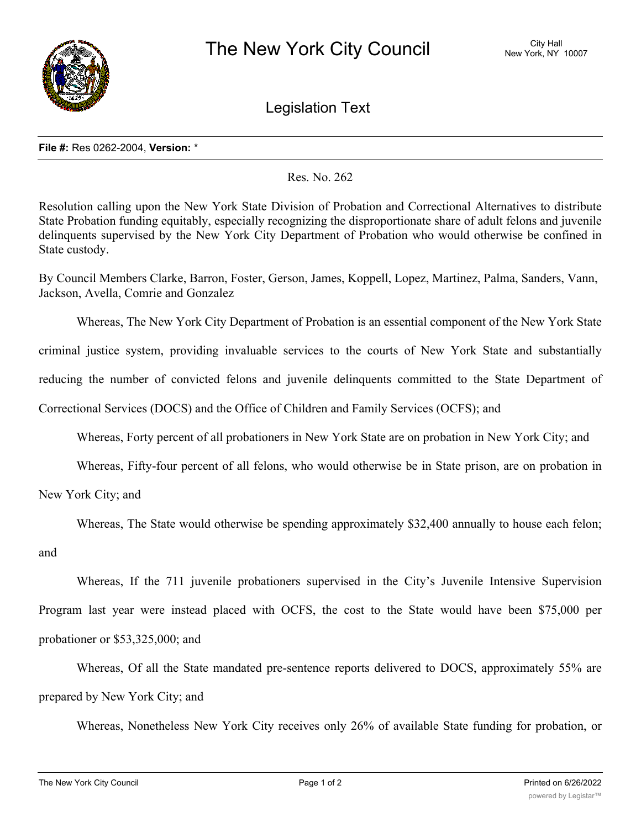

Legislation Text

## **File #:** Res 0262-2004, **Version:** \*

Res. No. 262

Resolution calling upon the New York State Division of Probation and Correctional Alternatives to distribute State Probation funding equitably, especially recognizing the disproportionate share of adult felons and juvenile delinquents supervised by the New York City Department of Probation who would otherwise be confined in State custody.

By Council Members Clarke, Barron, Foster, Gerson, James, Koppell, Lopez, Martinez, Palma, Sanders, Vann, Jackson, Avella, Comrie and Gonzalez

Whereas, The New York City Department of Probation is an essential component of the New York State criminal justice system, providing invaluable services to the courts of New York State and substantially reducing the number of convicted felons and juvenile delinquents committed to the State Department of Correctional Services (DOCS) and the Office of Children and Family Services (OCFS); and

Whereas, Forty percent of all probationers in New York State are on probation in New York City; and

Whereas, Fifty-four percent of all felons, who would otherwise be in State prison, are on probation in

New York City; and

Whereas, The State would otherwise be spending approximately \$32,400 annually to house each felon;

and

Whereas, If the 711 juvenile probationers supervised in the City's Juvenile Intensive Supervision Program last year were instead placed with OCFS, the cost to the State would have been \$75,000 per probationer or \$53,325,000; and

Whereas, Of all the State mandated pre-sentence reports delivered to DOCS, approximately 55% are prepared by New York City; and

Whereas, Nonetheless New York City receives only 26% of available State funding for probation, or